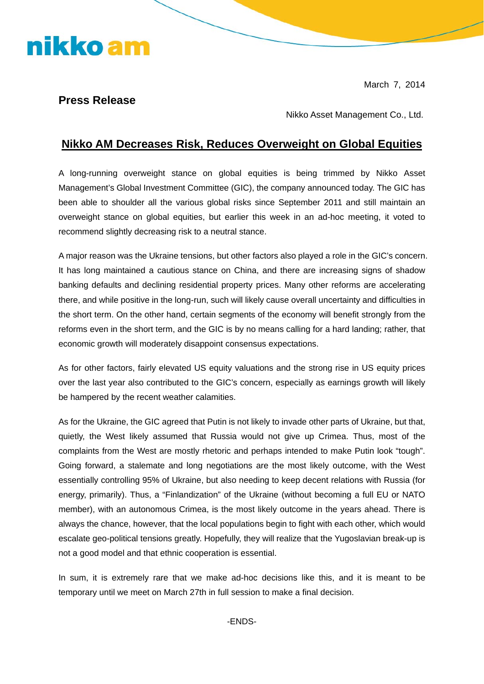March 7, 2014

## **Press Release**

nikko am

Nikko Asset Management Co., Ltd.

## **Nikko AM Decreases Risk, Reduces Overweight on Global Equities**

A long-running overweight stance on global equities is being trimmed by Nikko Asset Management's Global Investment Committee (GIC), the company announced today. The GIC has been able to shoulder all the various global risks since September 2011 and still maintain an overweight stance on global equities, but earlier this week in an ad-hoc meeting, it voted to recommend slightly decreasing risk to a neutral stance.

A major reason was the Ukraine tensions, but other factors also played a role in the GIC's concern. It has long maintained a cautious stance on China, and there are increasing signs of shadow banking defaults and declining residential property prices. Many other reforms are accelerating there, and while positive in the long-run, such will likely cause overall uncertainty and difficulties in the short term. On the other hand, certain segments of the economy will benefit strongly from the reforms even in the short term, and the GIC is by no means calling for a hard landing; rather, that economic growth will moderately disappoint consensus expectations.

As for other factors, fairly elevated US equity valuations and the strong rise in US equity prices over the last year also contributed to the GIC's concern, especially as earnings growth will likely be hampered by the recent weather calamities.

As for the Ukraine, the GIC agreed that Putin is not likely to invade other parts of Ukraine, but that, quietly, the West likely assumed that Russia would not give up Crimea. Thus, most of the complaints from the West are mostly rhetoric and perhaps intended to make Putin look "tough". Going forward, a stalemate and long negotiations are the most likely outcome, with the West essentially controlling 95% of Ukraine, but also needing to keep decent relations with Russia (for energy, primarily). Thus, a "Finlandization" of the Ukraine (without becoming a full EU or NATO member), with an autonomous Crimea, is the most likely outcome in the years ahead. There is always the chance, however, that the local populations begin to fight with each other, which would escalate geo-political tensions greatly. Hopefully, they will realize that the Yugoslavian break-up is not a good model and that ethnic cooperation is essential.

In sum, it is extremely rare that we make ad-hoc decisions like this, and it is meant to be temporary until we meet on March 27th in full session to make a final decision.